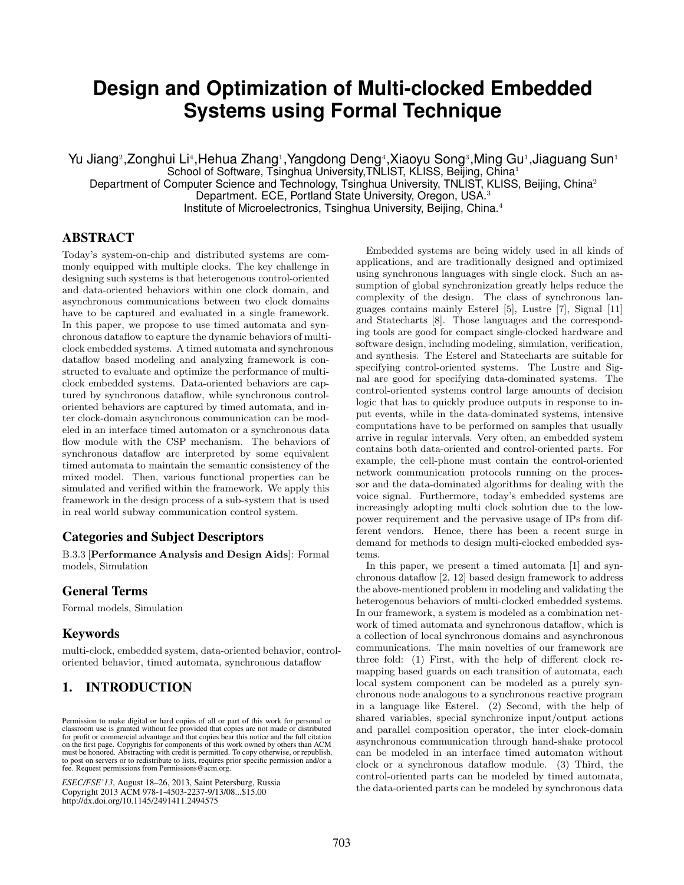# **Design and Optimization of Multi-clocked Embedded Systems using Formal Technique**

Yu Jiang<sup>,</sup>,Zonghui Li<sup>4</sup>,Hehua Zhang<sup>1</sup>,Yangdong Deng<sup>4</sup>,Xiaoyu Song<sup>3</sup>,Ming Gu<sup>1</sup>,Jiaguang Sun<sup>1</sup> School of Software, Tsinghua University, TNLIST, KLISS, Beijing, China<sup>1</sup> Department of Computer Science and Technology, Tsinghua University, TNLIST, KLISS, Beijing, China<sup>2</sup> Department. ECE, Portland State University, Oregon, USA.<sup>3</sup> Institute of Microelectronics, Tsinghua University, Beijing, China.<sup>4</sup>

# ABSTRACT

Today's system-on-chip and distributed systems are commonly equipped with multiple clocks. The key challenge in designing such systems is that heterogenous control-oriented and data-oriented behaviors within one clock domain, and asynchronous communications between two clock domains have to be captured and evaluated in a single framework. In this paper, we propose to use timed automata and synchronous dataflow to capture the dynamic behaviors of multiclock embedded systems. A timed automata and synchronous dataflow based modeling and analyzing framework is constructed to evaluate and optimize the performance of multiclock embedded systems. Data-oriented behaviors are captured by synchronous dataflow, while synchronous controloriented behaviors are captured by timed automata, and inter clock-domain asynchronous communication can be modeled in an interface timed automaton or a synchronous data flow module with the CSP mechanism. The behaviors of synchronous dataflow are interpreted by some equivalent timed automata to maintain the semantic consistency of the mixed model. Then, various functional properties can be simulated and verified within the framework. We apply this framework in the design process of a sub-system that is used in real world subway communication control system.

# Categories and Subject Descriptors

B.3.3 [Performance Analysis and Design Aids]: Formal models, Simulation

#### General Terms

Formal models, Simulation

## Keywords

multi-clock, embedded system, data-oriented behavior, controloriented behavior, timed automata, synchronous dataflow

# 1. INTRODUCTION

classroom use is granted without fee provided that copies are not made or distributed<br>for an fit to communical advantage and that copies has this patient and the full distinct for profit or commercial advantage and that copies bear this notice and the furt chattor<br>on the first page. Convirights for components of this work owned by others than ACM on the first page. Copyrights for components of this work owned by others than ACM<br>must be honored. Abstracting with credit is permitted. To copy otherwise, or republish, to post on servers or to redistribute to lists, requires prior specific permission and/or a fee. Request permissions from Permissions@acm.org. Permission to make digital or hard copies of all or part of this work for personal or for profit or commercial advantage and that copies bear this notice and the full citation

ESEC/FSE'13, August 18-26, 2013, Saint Petersburg, Russia *ESEC/FSE* '3, August 18-26, 2013, Saint Petersburg, Russia Copyright 2013 ACM 978-1-4503-2237-9/13/08...\$15.00 http://dx.doi.org/10.1145/2491411.2494575

Embedded systems are being widely used in all kinds of applications, and are traditionally designed and optimized using synchronous languages with single clock. Such an assumption of global synchronization greatly helps reduce the complexity of the design. The class of synchronous languages contains mainly Esterel [5], Lustre [7], Signal [11] and Statecharts [8]. Those languages and the corresponding tools are good for compact single-clocked hardware and software design, including modeling, simulation, verification, and synthesis. The Esterel and Statecharts are suitable for specifying control-oriented systems. The Lustre and Signal are good for specifying data-dominated systems. The control-oriented systems control large amounts of decision logic that has to quickly produce outputs in response to input events, while in the data-dominated systems, intensive computations have to be performed on samples that usually arrive in regular intervals. Very often, an embedded system contains both data-oriented and control-oriented parts. For example, the cell-phone must contain the control-oriented network communication protocols running on the processor and the data-dominated algorithms for dealing with the voice signal. Furthermore, today's embedded systems are increasingly adopting multi clock solution due to the lowpower requirement and the pervasive usage of IPs from different vendors. Hence, there has been a recent surge in demand for methods to design multi-clocked embedded systems.

In this paper, we present a timed automata [1] and synchronous dataflow [2, 12] based design framework to address the above-mentioned problem in modeling and validating the heterogenous behaviors of multi-clocked embedded systems. In our framework, a system is modeled as a combination network of timed automata and synchronous dataflow, which is a collection of local synchronous domains and asynchronous communications. The main novelties of our framework are three fold: (1) First, with the help of different clock remapping based guards on each transition of automata, each local system component can be modeled as a purely synchronous node analogous to a synchronous reactive program in a language like Esterel. (2) Second, with the help of shared variables, special synchronize input/output actions and parallel composition operator, the inter clock-domain asynchronous communication through hand-shake protocol can be modeled in an interface timed automaton without clock or a synchronous dataflow module. (3) Third, the control-oriented parts can be modeled by timed automata, the data-oriented parts can be modeled by synchronous data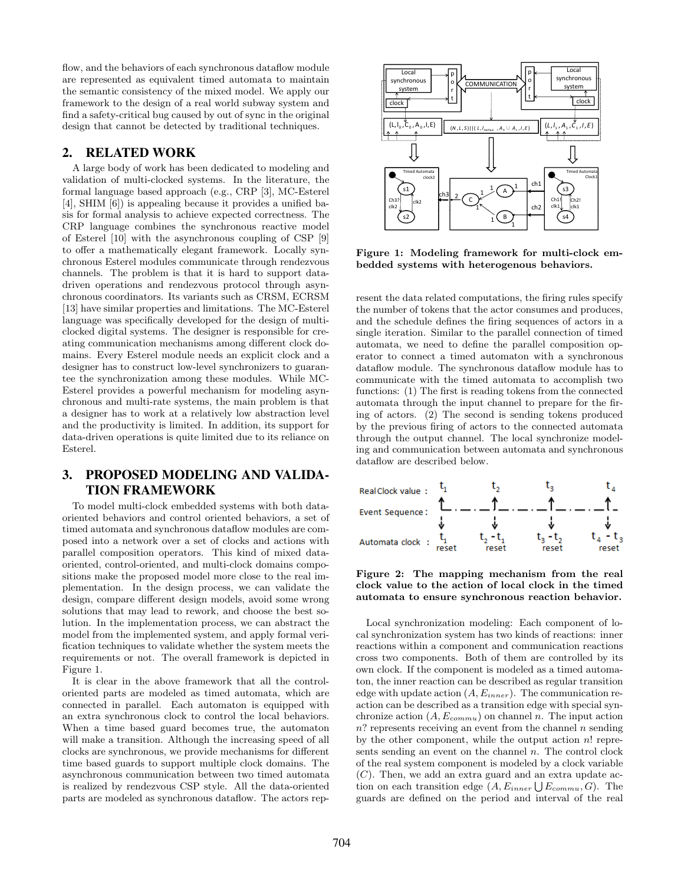flow, and the behaviors of each synchronous dataflow module are represented as equivalent timed automata to maintain the semantic consistency of the mixed model. We apply our framework to the design of a real world subway system and find a safety-critical bug caused by out of sync in the original design that cannot be detected by traditional techniques.

#### 2. RELATED WORK

A large body of work has been dedicated to modeling and validation of multi-clocked systems. In the literature, the formal language based approach (e.g., CRP [3], MC-Esterel [4], SHIM [6]) is appealing because it provides a unified basis for formal analysis to achieve expected correctness. The CRP language combines the synchronous reactive model of Esterel [10] with the asynchronous coupling of CSP [9] to offer a mathematically elegant framework. Locally synchronous Esterel modules communicate through rendezvous channels. The problem is that it is hard to support datadriven operations and rendezvous protocol through asynchronous coordinators. Its variants such as CRSM, ECRSM [13] have similar properties and limitations. The MC-Esterel language was specifically developed for the design of multiclocked digital systems. The designer is responsible for creating communication mechanisms among different clock domains. Every Esterel module needs an explicit clock and a designer has to construct low-level synchronizers to guarantee the synchronization among these modules. While MC-Esterel provides a powerful mechanism for modeling asynchronous and multi-rate systems, the main problem is that a designer has to work at a relatively low abstraction level and the productivity is limited. In addition, its support for data-driven operations is quite limited due to its reliance on Esterel.

# 3. PROPOSED MODELING AND VALIDA-TION FRAMEWORK

To model multi-clock embedded systems with both dataoriented behaviors and control oriented behaviors, a set of timed automata and synchronous dataflow modules are composed into a network over a set of clocks and actions with parallel composition operators. This kind of mixed dataoriented, control-oriented, and multi-clock domains compositions make the proposed model more close to the real implementation. In the design process, we can validate the design, compare different design models, avoid some wrong solutions that may lead to rework, and choose the best solution. In the implementation process, we can abstract the model from the implemented system, and apply formal verification techniques to validate whether the system meets the requirements or not. The overall framework is depicted in Figure 1.

It is clear in the above framework that all the controloriented parts are modeled as timed automata, which are connected in parallel. Each automaton is equipped with an extra synchronous clock to control the local behaviors. When a time based guard becomes true, the automaton will make a transition. Although the increasing speed of all clocks are synchronous, we provide mechanisms for different time based guards to support multiple clock domains. The asynchronous communication between two timed automata is realized by rendezvous CSP style. All the data-oriented parts are modeled as synchronous dataflow. The actors rep-



Figure 1: Modeling framework for multi-clock embedded systems with heterogenous behaviors.

resent the data related computations, the firing rules specify the number of tokens that the actor consumes and produces, and the schedule defines the firing sequences of actors in a single iteration. Similar to the parallel connection of timed automata, we need to define the parallel composition operator to connect a timed automaton with a synchronous dataflow module. The synchronous dataflow module has to communicate with the timed automata to accomplish two functions: (1) The first is reading tokens from the connected automata through the input channel to prepare for the firing of actors. (2) The second is sending tokens produced by the previous firing of actors to the connected automata through the output channel. The local synchronize modeling and communication between automata and synchronous dataflow are described below.



Figure 2: The mapping mechanism from the real clock value to the action of local clock in the timed automata to ensure synchronous reaction behavior.

Local synchronization modeling: Each component of local synchronization system has two kinds of reactions: inner reactions within a component and communication reactions cross two components. Both of them are controlled by its own clock. If the component is modeled as a timed automaton, the inner reaction can be described as regular transition edge with update action  $(A, E_{inner})$ . The communication reaction can be described as a transition edge with special synchronize action  $(A, E_{commu})$  on channel n. The input action  $n$ ? represents receiving an event from the channel n sending by the other component, while the output action  $n!$  represents sending an event on the channel  $n$ . The control clock of the real system component is modeled by a clock variable  $(C)$ . Then, we add an extra guard and an extra update action on each transition edge  $(A, E_{inner} \bigcup E_{commu}, G)$ . The guards are defined on the period and interval of the real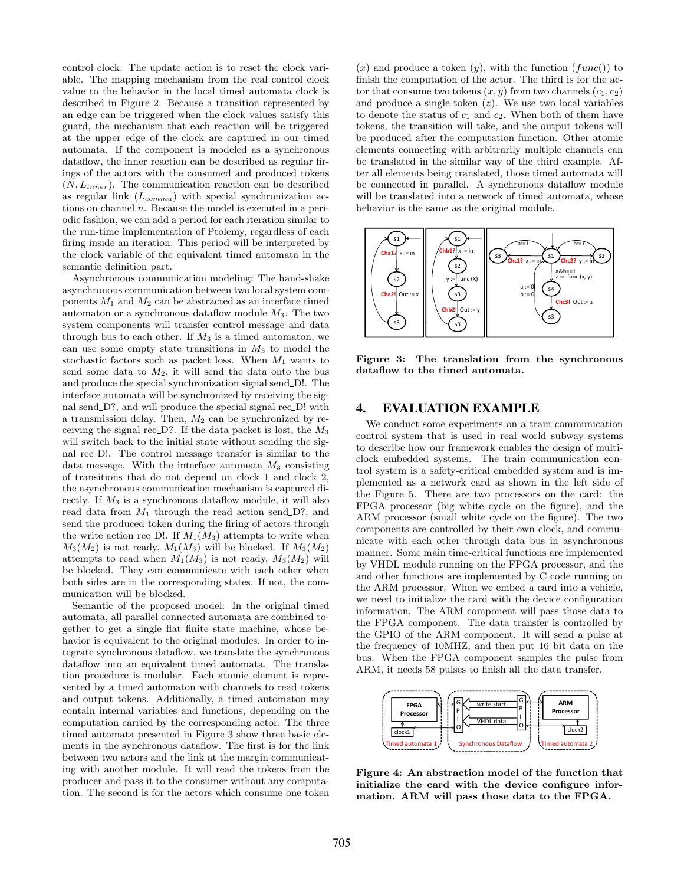control clock. The update action is to reset the clock variable. The mapping mechanism from the real control clock value to the behavior in the local timed automata clock is described in Figure 2. Because a transition represented by an edge can be triggered when the clock values satisfy this guard, the mechanism that each reaction will be triggered at the upper edge of the clock are captured in our timed automata. If the component is modeled as a synchronous dataflow, the inner reaction can be described as regular firings of the actors with the consumed and produced tokens  $(N, L_{inner})$ . The communication reaction can be described as regular link  $(L_{commu})$  with special synchronization actions on channel  $n$ . Because the model is executed in a periodic fashion, we can add a period for each iteration similar to the run-time implementation of Ptolemy, regardless of each firing inside an iteration. This period will be interpreted by the clock variable of the equivalent timed automata in the semantic definition part.

Asynchronous communication modeling: The hand-shake asynchronous communication between two local system components  $M_1$  and  $M_2$  can be abstracted as an interface timed automaton or a synchronous dataflow module  $M_3$ . The two system components will transfer control message and data through bus to each other. If  $M_3$  is a timed automaton, we can use some empty state transitions in  $M_3$  to model the stochastic factors such as packet loss. When  $M_1$  wants to send some data to  $M_2$ , it will send the data onto the bus and produce the special synchronization signal send  $\Box$ . The interface automata will be synchronized by receiving the signal send D?, and will produce the special signal rec\_D! with a transmission delay. Then,  $M_2$  can be synchronized by receiving the signal rec<sub>-D</sub>?. If the data packet is lost, the  $M_3$ will switch back to the initial state without sending the signal rec D!. The control message transfer is similar to the data message. With the interface automata  $M_3$  consisting of transitions that do not depend on clock 1 and clock 2, the asynchronous communication mechanism is captured directly. If  $M_3$  is a synchronous dataflow module, it will also read data from  $M_1$  through the read action send  $D$ ?, and send the produced token during the firing of actors through the write action rec. D!. If  $M_1(M_3)$  attempts to write when  $M_3(M_2)$  is not ready,  $M_1(M_3)$  will be blocked. If  $M_3(M_2)$ attempts to read when  $M_1(M_3)$  is not ready,  $M_3(M_2)$  will be blocked. They can communicate with each other when both sides are in the corresponding states. If not, the communication will be blocked.

Semantic of the proposed model: In the original timed automata, all parallel connected automata are combined together to get a single flat finite state machine, whose behavior is equivalent to the original modules. In order to integrate synchronous dataflow, we translate the synchronous dataflow into an equivalent timed automata. The translation procedure is modular. Each atomic element is represented by a timed automaton with channels to read tokens and output tokens. Additionally, a timed automaton may contain internal variables and functions, depending on the computation carried by the corresponding actor. The three timed automata presented in Figure 3 show three basic elements in the synchronous dataflow. The first is for the link between two actors and the link at the margin communicating with another module. It will read the tokens from the producer and pass it to the consumer without any computation. The second is for the actors which consume one token

 $(x)$  and produce a token  $(y)$ , with the function  $(func())$  to finish the computation of the actor. The third is for the actor that consume two tokens  $(x, y)$  from two channels  $(c_1, c_2)$ and produce a single token  $(z)$ . We use two local variables to denote the status of  $c_1$  and  $c_2$ . When both of them have tokens, the transition will take, and the output tokens will be produced after the computation function. Other atomic elements connecting with arbitrarily multiple channels can be translated in the similar way of the third example. After all elements being translated, those timed automata will be connected in parallel. A synchronous dataflow module will be translated into a network of timed automata, whose behavior is the same as the original module.



Figure 3: The translation from the synchronous dataflow to the timed automata.

#### 4. EVALUATION EXAMPLE

We conduct some experiments on a train communication control system that is used in real world subway systems to describe how our framework enables the design of multiclock embedded systems. The train communication control system is a safety-critical embedded system and is implemented as a network card as shown in the left side of the Figure 5. There are two processors on the card: the FPGA processor (big white cycle on the figure), and the ARM processor (small white cycle on the figure). The two components are controlled by their own clock, and communicate with each other through data bus in asynchronous manner. Some main time-critical functions are implemented by VHDL module running on the FPGA processor, and the and other functions are implemented by C code running on the ARM processor. When we embed a card into a vehicle, we need to initialize the card with the device configuration information. The ARM component will pass those data to the FPGA component. The data transfer is controlled by the GPIO of the ARM component. It will send a pulse at the frequency of 10MHZ, and then put 16 bit data on the bus. When the FPGA component samples the pulse from ARM, it needs 58 pulses to finish all the data transfer.



Figure 4: An abstraction model of the function that initialize the card with the device configure information. ARM will pass those data to the FPGA.